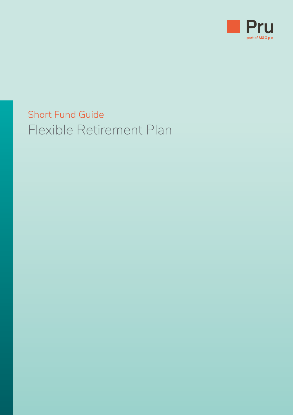

## Short Fund Guide Flexible Retirement Plan

- 
- 
- -
	-
	- -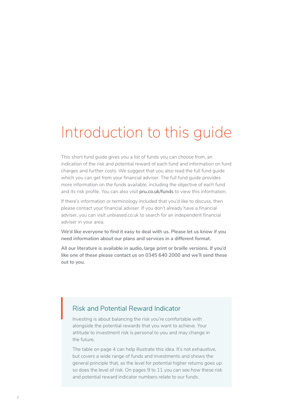# Introduction to this guide

This short fund guide gives you a list of funds you can choose from, an indication of the risk and potential reward of each fund and information on fund charges and further costs. We suggest that you also read the full fund guide which you can get from your financial adviser. The full fund guide provides more information on the funds available, including the objective of each fund and its risk profile. You can also visit **[pru.co.uk/funds](http://pru.co.uk/funds)** to view this information.

If there's information or terminology included that you'd like to discuss, then please contact your financial adviser. If you don't already have a financial adviser, you can visit [unbiased.co.uk](https://www.unbiased.co.uk) to search for an independent financial adviser in your area.

**We'd like everyone to find it easy to deal with us. Please let us know if you need information about our plans and services in a different format.**

**All our literature is available in audio, large print or braille versions. If you'd like one of these please contact us on 0345 640 2000 and we'll send these out to you.**

### Risk and Potential Reward Indicator

Investing is about balancing the risk you're comfortable with alongside the potential rewards that you want to achieve. Your attitude to investment risk is personal to you and may change in the future.

The table on page 4 can help illustrate this idea. It's not exhaustive, but covers a wide range of funds and investments and shows the general principle that, as the level for potential higher returns goes up so does the level of risk. On pages 9 to 11 you can see how these risk and potential reward indicator numbers relate to our funds.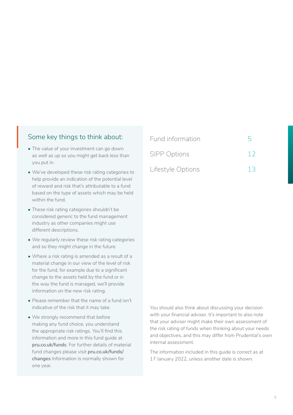### Some key things to think about:

- The value of your investment can go down as well as up so you might get back less than you put in.
- We've developed these risk rating categories to help provide an indication of the potential level of reward and risk that's attributable to a fund based on the type of assets which may be held within the fund.
- These risk rating categories shouldn't be considered generic to the fund management industry as other companies might use different descriptions.
- We regularly review these risk rating categories and so they might change in the future.
- Where a risk rating is amended as a result of a material change in our view of the level of risk for the fund, for example due to a significant change to the assets held by the fund or in the way the fund is managed, we'll provide information on the new risk rating.
- Please remember that the name of a fund isn't indicative of the risk that it may take.
- We strongly recommend that before making any fund choice, you understand the appropriate risk ratings. You'll find this information and more in this fund guide at **[pru.co.uk/funds](http://pru.co.uk/funds)**. For further details of material fund changes please visit **[pru.co.uk/funds/](http://pru.co.uk/funds/changes) [changes](http://pru.co.uk/funds/changes)** Information is normally shown for one year.

| Fund information    |    |  |
|---------------------|----|--|
| <b>SIPP Options</b> | 12 |  |

[Lifestyle Options](#page-12-0) 13

You should also think about discussing your decision with your financial adviser. It's important to also note that your adviser might make their own assessment of the risk rating of funds when thinking about your needs and objectives, and this may differ from Prudential's own internal assessment.

The information included in this guide is correct as at 17 January 2022, unless another date is shown.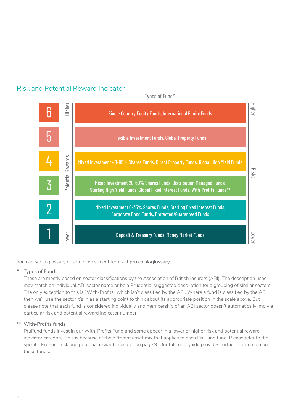## Risk and Potential Reward Indicator



Types of Fund\*

You can see a glossary of some investment terms at **[pru.co.uk/glossary](http://www.pru.co.uk/glossary)**

#### **\* Types of Fund**

These are mostly based on sector classifications by the Association of British Insurers (ABI). The description used may match an individual ABI sector name or be a Prudential suggested description for a grouping of similar sectors. The only exception to this is "With-Profits" which isn't classified by the ABI. Where a fund is classified by the ABI then we'll use the sector it's in as a starting point to think about its appropriate position in the scale above. But please note that each fund is considered individually and membership of an ABI sector doesn't automatically imply a particular risk and potential reward indicator number.

#### \*\* **With-Profits funds**

PruFund funds invest in our With-Profits Fund and some appear in a lower or higher risk and potential reward indicator category. This is because of the different asset mix that applies to each PruFund fund. Please refer to the specific PruFund risk and potential reward indicator on page 9. Our full fund guide provides further information on these funds.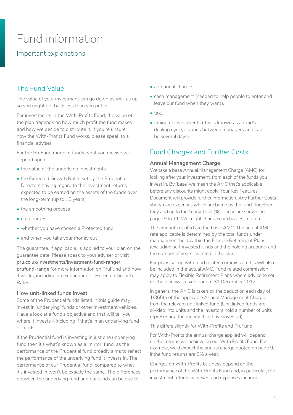## <span id="page-4-0"></span>Fund information

## Important explanations

## The Fund Value

The value of your investment can go down as well as up so you might get back less than you put in.

For investments in the With-Profits Fund, the value of the plan depends on how much profit the fund makes and how we decide to distribute it. If you're unsure how the With-Profits Fund works, please speak to a financial adviser.

For the PruFund range of funds what you receive will depend upon:

- the value of the underlying investments
- the Expected Growth Rates set by the Prudential Directors having regard to the investment returns expected to be earned on the assets of the funds over the long-term (up to 15 years)
- the smoothing process
- our charges
- whether you have chosen a Protected fund
- and when you take your money out

The guarantee, if applicable, is applied to your plan on the guarantee date. Please speak to your adviser or visit **[pru.co.uk/investments/investment-fund-range/](http://pru.co.uk/investments/investment-fund-range/prufund-range) [prufund-range](http://pru.co.uk/investments/investment-fund-range/prufund-range)** for more information on PruFund and how it works, including an explanation of Expected Growth Rates.

#### **How unit-linked funds invest**

Some of the Prudential funds listed in this guide may invest in 'underlying' funds or other investment vehicles. Have a look at a fund's objective and that will tell you where it invests – including if that's in an underlying fund or funds.

If the Prudential fund is investing in just one underlying fund then it's what's known as a 'mirror' fund, as the performance of the Prudential fund broadly aims to reflect the performance of the underlying fund it invests in. The performance of our Prudential fund, compared to what it's invested in won't be exactly the same. The differences between the underlying fund and our fund can be due to:

- additional charges,
- cash management (needed to help people to enter and leave our fund when they want),
- tax,
- timing of investments (this is known as a fund's dealing cycle, it varies between managers and can be several days).

## Fund Charges and Further Costs

#### **Annual Management Charge**

We take a base Annual Management Charge (AMC) for looking after your investment, from each of the funds you invest in. By 'base' we mean the AMC that's applicable before any discounts might apply. Your Key Features Document will provide further information. Any Further Costs shown are expenses which are borne by the fund. Together they add up to the Yearly Total (%). These are shown on pages 9 to 11. We might change our charges in future.

The amounts quoted are the basic AMC. The actual AMC rate applicable is determined by the total funds under management held within the Flexible Retirement Plans (excluding self-invested funds and the holding account) and the number of years invested in the plan.

For plans set up with fund related commission this will also be included in the actual AMC. Fund related commission may apply to Flexible Retirement Plans where advice to set up the plan was given prior to 31 December 2012.

In general the AMC is taken by the deduction each day of 1/365th of the applicable Annual Management Charge, from the relevant unit linked fund (Unit linked funds are divided into units and the investors hold a number of units representing the money they have invested).

This differs slightly for With-Profits and PruFund.

For With-Profits the annual charge applied will depend on the returns we achieve on our With Profits Fund. For example, we'd expect the annual charge quoted on page 9, if the fund returns are 5% a year.

Charges on With-Profits business depend on the performance of the With-Profits Fund and, in particular, the investment returns achieved and expenses incurred.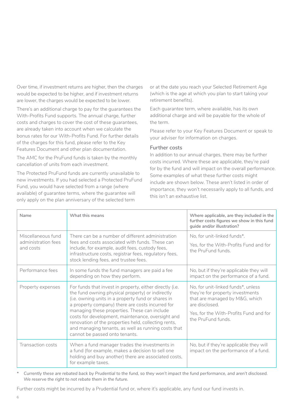Over time, if investment returns are higher, then the charges would be expected to be higher, and if investment returns are lower, the charges would be expected to be lower.

There's an additional charge to pay for the guarantees the With-Profits Fund supports. The annual charge, further costs and charges to cover the cost of these guarantees, are already taken into account when we calculate the bonus rates for our With-Profits Fund. For further details of the charges for this fund, please refer to the Key Features Document and other plan documentation.

The AMC for the PruFund funds is taken by the monthly cancellation of units from each investment.

The Protected PruFund funds are currently unavailable to new investments. If you had selected a Protected PruFund Fund, you would have selected from a range (where available) of guarantee terms, where the guarantee will only apply on the plan anniversary of the selected term

or at the date you reach your Selected Retirement Age (which is the age at which you plan to start taking your retirement benefits).

Each guarantee term, where available, has its own additional charge and will be payable for the whole of the term.

Please refer to your Key Features Document or speak to your adviser for information on charges.

#### **Further costs**

In addition to our annual charges, there may be further costs incurred. Where these are applicable, they're paid for by the fund and will impact on the overall performance. Some examples of what these further costs might include are shown below. These aren't listed in order of importance, they won't necessarily apply to all funds, and this isn't an exhaustive list.

| Name                                                   | What this means                                                                                                                                                                                                                                                                                                                                                                                                                                                              | Where applicable, are they included in the<br>further costs figures we show in this fund<br>guide and/or illustration?                                                                     |
|--------------------------------------------------------|------------------------------------------------------------------------------------------------------------------------------------------------------------------------------------------------------------------------------------------------------------------------------------------------------------------------------------------------------------------------------------------------------------------------------------------------------------------------------|--------------------------------------------------------------------------------------------------------------------------------------------------------------------------------------------|
| Miscellaneous fund<br>administration fees<br>and costs | There can be a number of different administration<br>fees and costs associated with funds. These can<br>include, for example, audit fees, custody fees,<br>infrastructure costs, registrar fees, regulatory fees,<br>stock lending fees, and trustee fees.                                                                                                                                                                                                                   | No, for unit-linked funds*.<br>Yes, for the With-Profits Fund and for<br>the PruFund funds.                                                                                                |
| Performance fees                                       | In some funds the fund managers are paid a fee<br>depending on how they perform.                                                                                                                                                                                                                                                                                                                                                                                             | No, but if they're applicable they will<br>impact on the performance of a fund.                                                                                                            |
| Property expenses                                      | For funds that invest in property, either directly (i.e.<br>the fund owning physical property) or indirectly<br>(i.e. owning units in a property fund or shares in<br>a property company) there are costs incurred for<br>managing these properties. These can include<br>costs for development, maintenance, oversight and<br>renovation of the properties held, collecting rents,<br>and managing tenants, as well as running costs that<br>cannot be passed onto tenants. | No, for unit-linked funds*, unless<br>they're for property investments<br>that are managed by M&G, which<br>are disclosed.<br>Yes, for the With-Profits Fund and for<br>the PruFund funds. |
| Transaction costs                                      | When a fund manager trades the investments in<br>a fund (for example, makes a decision to sell one<br>holding and buy another) there are associated costs,<br>for example taxes.                                                                                                                                                                                                                                                                                             | No, but if they're applicable they will<br>impact on the performance of a fund.                                                                                                            |

*\* Currently these are rebated back by Prudential to the fund, so they won't impact the fund performance, and aren't disclosed. We reserve the right to not rebate them in the future.* 

Further costs might be incurred by a Prudential fund or, where it's applicable, any fund our fund invests in.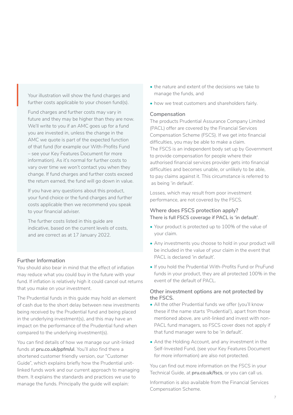Your illustration will show the fund charges and further costs applicable to your chosen fund(s).

Fund charges and further costs may vary in future and they may be higher than they are now. We'll write to you if an AMC goes up for a fund you are invested in, unless the change in the AMC we quote is part of the expected function of that fund (for example our With-Profits Fund – see your Key Features Document for more information). As it's normal for further costs to vary over time we won't contact you when they change. If fund charges and further costs exceed the return earned, the fund will go down in value.

If you have any questions about this product, your fund choice or the fund charges and further costs applicable then we recommend you speak to your financial adviser.

The further costs listed in this guide are indicative, based on the current levels of costs, and are correct as at 17 January 2022.

#### **Further Information**

You should also bear in mind that the effect of inflation may reduce what you could buy in the future with your fund. If inflation is relatively high it could cancel out returns that you make on your investment.

The Prudential funds in this guide may hold an element of cash due to the short delay between new investments being received by the Prudential fund and being placed in the underlying investment(s), and this may have an impact on the performance of the Prudential fund when compared to the underlying investment(s).

You can find details of how we manage our unit-linked funds at **[pru.co.uk/ppfm/ul](http://pru.co.uk/ppfm/ul)**. You'll also find there a shortened customer friendly version, our "Customer Guide", which explains briefly how the Prudential unitlinked funds work and our current approach to managing them. It explains the standards and practices we use to manage the funds. Principally the guide will explain:

- the nature and extent of the decisions we take to manage the funds, and
- how we treat customers and shareholders fairly.

#### **Compensation**

The products Prudential Assurance Company Limited (PACL) offer are covered by the Financial Services Compensation Scheme (FSCS). If we get into financial difficulties, you may be able to make a claim. The FSCS is an independent body set up by Government to provide compensation for people where their authorised financial services provider gets into financial difficulties and becomes unable, or unlikely to be able, to pay claims against it. This circumstance is referred to as being 'in default'.

Losses, which may result from poor investment performance, are not covered by the FSCS.

#### **Where does FSCS protection apply? There is full FSCS coverage if PACL is 'in default'**.

- Your product is protected up to 100% of the value of your claim.
- Any investments you choose to hold in your product will be included in the value of your claim in the event that PACL is declared 'in default'.
- If you hold the Prudential With-Profits Fund or PruFund funds in your product, they are all protected 100% in the event of the default of PACL.

#### **Other investment options are not protected by the FSCS.**

- All the other Prudential funds we offer (you'll know these if the name starts 'Prudential'), apart from those mentioned above, are unit-linked and invest with non-PACL fund managers, so FSCS cover does not apply if that fund manager were to be 'in default'.
- And the Holding Account, and any investment in the Self-Invested Fund, (see your Key Features Document for more information) are also not protected.

You can find out more information on the FSCS in your Technical Guide, at **[pru.co.uk/fscs](https://www.pru.co.uk/fscs)**, or you can call us.

Information is also available from the Financial Services Compensation Scheme.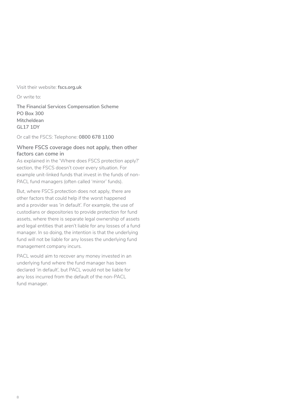#### Visit their website: **[fscs.org.uk](https://www.fscs.org.uk)**

Or write to:

**The Financial Services Compensation Scheme PO Box 300 Mitcheldean GL17 1DY** 

Or call the FSCS: Telephone: **0800 678 1100**

#### **Where FSCS coverage does not apply, then other factors can come in**

As explained in the 'Where does FSCS protection apply?' section, the FSCS doesn't cover every situation. For example unit-linked funds that invest in the funds of non-PACL fund managers (often called 'mirror' funds).

But, where FSCS protection does not apply, there are other factors that could help if the worst happened and a provider was 'in default'. For example, the use of custodians or depositories to provide protection for fund assets, where there is separate legal ownership of assets and legal entities that aren't liable for any losses of a fund manager. In so doing, the intention is that the underlying fund will not be liable for any losses the underlying fund management company incurs.

PACL would aim to recover any money invested in an underlying fund where the fund manager has been declared 'in default', but PACL would not be liable for any loss incurred from the default of the non-PACL fund manager.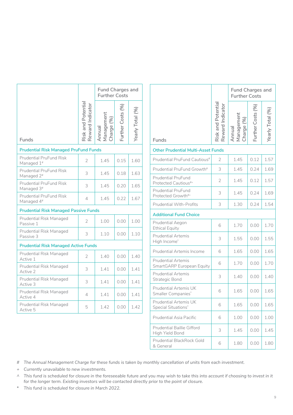|                                                          | <b>Further Costs</b>                   |                                    |                  | <b>Fund Charges and</b> |
|----------------------------------------------------------|----------------------------------------|------------------------------------|------------------|-------------------------|
| Funds                                                    | Risk and Potential<br>Reward Indicator | Management<br>Charge (%)<br>Annual | Further Costs (% | Yearly Total (%)        |
| <b>Prudential Risk Managed PruFund Funds</b>             |                                        |                                    |                  |                         |
| <b>Prudential PruFund Risk</b><br>Managed $1\#$          | 2                                      | 1.45                               | 0.15             | 1.60                    |
| <b>Prudential PruFund Risk</b><br>Managed 2 <sup>#</sup> | 3                                      | 1.45                               | 0.18             | 1.63                    |
| <b>Prudential PruFund Risk</b><br>Managed 3 <sup>#</sup> | 3                                      | 1.45                               | 0.20             | 1.65                    |
| <b>Prudential PruFund Risk</b><br>Managed 4#             | 4                                      | 1.45                               | 0.22             | 1.67                    |
| <b>Prudential Risk Managed Passive Funds</b>             |                                        |                                    |                  |                         |
| Prudential Risk Managed<br>Passive 1                     | 2                                      | 1.00                               | 0.00             | 1.00                    |
| Prudential Risk Managed<br>Passive 3                     | 3                                      | 1.10                               | 0.00             | 1.10                    |
| <b>Prudential Risk Managed Active Funds</b>              |                                        |                                    |                  |                         |
| Prudential Risk Managed<br>Active 1                      | $\overline{2}$                         | 1.40                               | 0.00             | 1.40                    |
| Prudential Risk Managed<br>Active 2                      | 3                                      | 1.41                               | 0.00             | 1.41                    |
| Prudential Risk Managed<br>Active 3                      | 3                                      | 1.41                               | 0.00             | 1.41                    |
| Prudential Risk Managed<br>Active 4                      | 4                                      | 1.41                               | 0.00             | 1.41                    |
| Prudential Risk Managed<br>Active 5                      | 5                                      | 1.42                               | 0.00             | 1.42                    |

|                                                        |                                       |                                    |                   | <b>Fund Charges and</b><br><b>Further Costs</b> |  |  |
|--------------------------------------------------------|---------------------------------------|------------------------------------|-------------------|-------------------------------------------------|--|--|
| Funds                                                  | Risk and Potentia<br>Reward Indicator | Management<br>Charge (%)<br>Annual | Further Costs (%) | Yearly Total (%)                                |  |  |
| <b>Other Prudential Multi-Asset Funds</b>              |                                       |                                    |                   |                                                 |  |  |
| Prudential PruFund Cautious <sup>#</sup>               | 2                                     | 1.45                               | 0.12              | 1.57                                            |  |  |
| Prudential PruFund Growth <sup>#</sup>                 | 3                                     | 1.45                               | 0.24              | 1.69                                            |  |  |
| <b>Prudential PruFund</b><br>Protected Cautious#+      | $\overline{2}$                        | 1.45                               | 0.12              | 1.57                                            |  |  |
| <b>Prudential PruFund</b><br>Protected Growth#+        | 3                                     | 1.45                               | 0.24              | 1.69                                            |  |  |
| Prudential With-Profits                                | 3                                     | 1.30                               | 0.24              | 1.54                                            |  |  |
| <b>Additional Fund Choice</b>                          |                                       |                                    |                   |                                                 |  |  |
| Prudential Aegon<br><b>Ethical Equity</b>              | 6                                     | 1.70                               | 0.00              | 1.70                                            |  |  |
| <b>Prudential Artemis</b><br>High Income*              | 3                                     | 1.55                               | 0.00              | 1.55                                            |  |  |
| <b>Prudential Artemis Income</b>                       | 6                                     | 1.65                               | 0.00              | 1.65                                            |  |  |
| <b>Prudential Artemis</b><br>SmartGARP European Equity | 6                                     | 1.70                               | 0.00              | 1.70                                            |  |  |
| <b>Prudential Artemis</b><br>Strategic Bond            | 3                                     | 1.40                               | 0.00              | 1.40                                            |  |  |
| Prudential Artemis UK<br>Smaller Companies*            | 6                                     | 1.65                               | 0.00              | 1.65                                            |  |  |
| Prudential Artemis UK<br>Special Situations*           | 6                                     | 1.65                               | 0.00              | 1.65                                            |  |  |
| Prudential Asia Pacific                                | 6                                     | 1.00                               | 0.00              | 1.00                                            |  |  |
| <b>Prudential Baillie Gifford</b><br>High Yield Bond   | 3                                     | 1.45                               | 0.00              | 1.45                                            |  |  |
| Prudential BlackRock Gold<br>& General                 | 6                                     | 1.80                               | 0.00              | 1.80                                            |  |  |

*# The Annual Management Charge for these funds is taken by monthly cancellation of units from each investment.*

- *+ Currently unavailable to new investments.*
- *^ This fund is scheduled for closure in the foreseeable future and you may wish to take this into account if choosing to invest in it for the longer term. Existing investors will be contacted directly prior to the point of closure.*
- *\* This fund is scheduled for closure in March 2022.*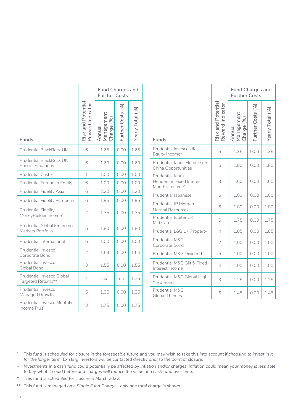|                                                        |                                        | <b>Fund Charges and</b><br><b>Further Costs</b> |                   |                  |
|--------------------------------------------------------|----------------------------------------|-------------------------------------------------|-------------------|------------------|
| Funds                                                  | Risk and Potential<br>Reward Indicator | Management<br>Charge (%)<br>Annual              | Further Costs (%) | Yearly Total (%) |
| <b>Prudential BlackRock UK</b>                         | 6                                      | 1.65                                            | 0.00              | 1.65             |
| Prudential BlackRock UK<br><b>Special Situations</b>   | 6                                      | 1.60                                            | 0.00              | 1.60             |
| Prudential Cash~                                       | $\mathbf 1$                            | 1.00                                            | 0.00              | 1.00             |
| Prudential European Equity                             | 6                                      | 1.00                                            | 0.00              | 1.00             |
| <b>Prudential Fidelity Asia</b>                        | 6                                      | 2.20                                            | 0.00              | 2.20             |
| Prudential Fidelity European                           | 6                                      | 1.95                                            | 0.00              | 1.95             |
| <b>Prudential Fidelity</b><br>MoneyBuilder Income*     | $\overline{2}$                         | 1.35                                            | 0.00              | 1.35             |
| <b>Prudential Global Emerging</b><br>Markets Portfolio | 6                                      | 1.80                                            | 0.00              | 1.80             |
| Prudential International                               | 6                                      | 1.00                                            | 0.00              | 1.00             |
| Prudential Invesco<br>Corporate Bond*                  | $\overline{2}$                         | 1.54                                            | 0.00              | 1.54             |
| Prudential Invesco<br>Global Bond                      | 3                                      | 1.55                                            | 0.00              | 1.55             |
| Prudential Invesco Global<br>Targeted Returns**        | 4                                      | na                                              | na                | 1.75             |
| Prudential Invesco<br>Managed Growth                   | 5                                      | 1.35                                            | 0.00              | 1.35             |
| Prudential Invesco Monthly<br>Income Plus*             | 3                                      | 1.75                                            | 0.00              | 1.75             |

|                                                                 | <b>Fund Charges and</b><br><b>Further Costs</b> |                                    |                   |                  |
|-----------------------------------------------------------------|-------------------------------------------------|------------------------------------|-------------------|------------------|
| Funds                                                           | Risk and Potentia<br>Reward Indicator           | Management<br>Charge (%)<br>Annual | Further Costs (%) | Yearly Total (%) |
| Prudential Invesco UK<br>Equity Income^                         | 6                                               | 1.35                               | 0.00              | 1.35             |
| Prudential Janus Henderson<br>China Opportunities               | 6                                               | 1.80                               | 0.00              | 1.80             |
| Prudential Janus<br>Henderson Fixed Interest<br>Monthly Income* | 3                                               | 1.60                               | 0.00              | 1.60             |
| Prudential Japanese                                             | 6                                               | 1.00                               | 0.00              | 1.00             |
| Prudential JP Morgan<br>Natural Resources                       | 6                                               | 1.80                               | 0.00              | 1.80             |
| Prudential Jupiter UK<br>Mid Cap                                | 6                                               | 1.75                               | 0.00              | 1.75             |
| Prudential L&G UK Property                                      | $\overline{4}$                                  | 1.85                               | 0.00              | 1.85             |
| Prudential M&G<br>Corporate Bond                                | $\overline{2}$                                  | 1.00                               | 0.00              | 1.00             |
| Prudential M&G Dividend                                         | 6                                               | 1.00                               | 0.00              | 1.00             |
| Prudential M&G Gilt & Fixed<br>Interest Income                  | 4                                               | 1.00                               | 0.00              | 1.00             |
| Prudential M&G Global High<br><b>Yield Bond</b>                 | 3                                               | 1.25                               | 0.00              | 1.25             |
| Prudential M&G<br><b>Global Themes</b>                          | 6                                               | 1.45                               | 0.00              | 1.45             |

- *^ This fund is scheduled for closure in the foreseeable future and you may wish to take this into account if choosing to invest in it for the longer term. Existing investors will be contacted directly prior to the point of closure.*
- *~ Investments in a cash fund could potentially be affected by inflation and/or charges. Inflation could mean your money is less able to buy what it could before and charges will reduce the value of a cash fund over time.*
- *\* This fund is scheduled for closure in March 2022.*
- *\*\* This fund is managed on a Single Fund Charge only one total charge is shown.*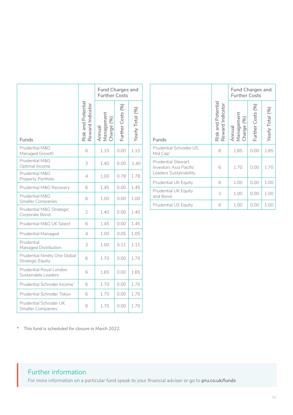|                                                         |                                        | <b>Fund Charges and</b><br><b>Further Costs</b> |                  |                  |  |
|---------------------------------------------------------|----------------------------------------|-------------------------------------------------|------------------|------------------|--|
| Funds                                                   | Risk and Potential<br>Reward Indicator | Management<br>Charge (%)<br>Annual              | urther Costs (%) | Yearly Total (%) |  |
| Prudential M&G<br>Managed Growth                        | 6                                      | 1.15                                            | 0.00             | 1.15             |  |
| Prudential M&G<br>Optimal Income                        | 3                                      | 1.40                                            | 0.00             | 1.40             |  |
| Prudential M&G<br>Property Portfolio                    | 4                                      | 1.00                                            | 0.78             | 1.78             |  |
| Prudential M&G Recovery                                 | 6                                      | 1.45                                            | 0.00             | 1.45             |  |
| Prudential M&G<br><b>Smaller Companies</b>              | 6                                      | 1.00                                            | 0.00             | 1.00             |  |
| Prudential M&G Strategic<br>Corporate Bond              | $\overline{2}$                         | 1.40                                            | 0.00             | 1.40             |  |
| Prudential M&G UK Select                                | 6                                      | 1.45                                            | 0.00             | 1.45             |  |
| Prudential Managed                                      | 4                                      | 1.00                                            | 0.05             | 1.05             |  |
| Prudential<br>Managed Distribution                      | 3                                      | 1.00                                            | 0.11             | 1.11             |  |
| Prudential Ninety One Global<br><b>Strategic Equity</b> | 6                                      | 1.70                                            | 0.00             | 1.70             |  |
| Prudential Royal London<br>Sustainable Leaders          | 6                                      | 1.65                                            | 0.00             | 1.65             |  |
| Prudential Schroder Income*                             | 6                                      | 1.70                                            | 0.00             | 1.70             |  |
| Prudential Schroder Tokyo                               | 6                                      | 1.70                                            | 0.00             | 1.70             |  |
| Prudential Schroder UK<br><b>Smaller Companies</b>      | 6                                      | 1.70                                            | 0.00             | 1.70             |  |

|                                                                                      |                                       | <b>Further Costs</b>               | <b>Fund Charges and</b> |                  |
|--------------------------------------------------------------------------------------|---------------------------------------|------------------------------------|-------------------------|------------------|
| <b>Funds</b>                                                                         | Risk and Potentia<br>Reward Indicator | Management<br>Charge (%)<br>Annual | Further Costs (%)       | Yearly Total (%) |
| Prudential Schroder US<br>Mid Cap <sup>*</sup>                                       | 6                                     | 1.85                               | 0.00                    | 1.85             |
| <b>Prudential Stewart</b><br><b>Investors Asia Pacific</b><br>Leaders Sustainability | 6                                     | 1.70                               | 0.00                    | 1.70             |
| <b>Prudential UK Equity</b>                                                          | 6                                     | 1.00                               | 0.00                    | 1.00             |
| <b>Prudential UK Equity</b><br>and Bond                                              | 3                                     | 1.00                               | 0.00                    | 1.00             |
| <b>Prudential US Equity</b>                                                          | 6                                     | 1.00                               | 0.00                    | 1.00             |

*\* This fund is scheduled for closure in March 2022.*

## Further information

For more information on a particular fund speak to your financial adviser or go to **[pru.co.uk/funds](http://www.pru.co.uk/funds)**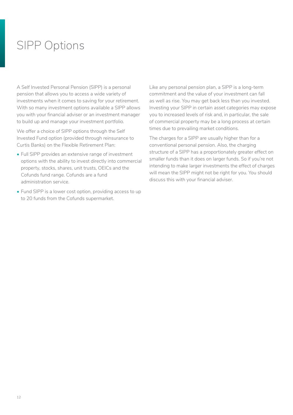## <span id="page-11-0"></span>SIPP Options

A Self Invested Personal Pension (SIPP) is a personal pension that allows you to access a wide variety of investments when it comes to saving for your retirement. With so many investment options available a SIPP allows you with your financial adviser or an investment manager to build up and manage your investment portfolio.

We offer a choice of SIPP options through the Self Invested Fund option (provided through reinsurance to Curtis Banks) on the Flexible Retirement Plan:

- Full SIPP provides an extensive range of investment options with the ability to invest directly into commercial property, stocks, shares, unit trusts, OEICs and the Cofunds fund range. Cofunds are a fund administration service.
- Fund SIPP is a lower cost option, providing access to up to 20 funds from the Cofunds supermarket.

Like any personal pension plan, a SIPP is a long-term commitment and the value of your investment can fall as well as rise. You may get back less than you invested. Investing your SIPP in certain asset categories may expose you to increased levels of risk and, in particular, the sale of commercial property may be a long process at certain times due to prevailing market conditions.

The charges for a SIPP are usually higher than for a conventional personal pension. Also, the charging structure of a SIPP has a proportionately greater effect on smaller funds than it does on larger funds. So if you're not intending to make larger investments the effect of charges will mean the SIPP might not be right for you. You should discuss this with your financial adviser.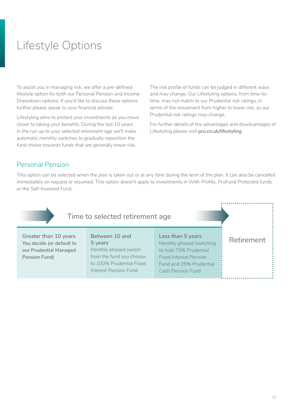## <span id="page-12-0"></span>Lifestyle Options

To assist you in managing risk, we offer a pre-defined lifestyle option for both our Personal Pension and Income Drawdown options. If you'd like to discuss these options further please speak to your financial adviser.

Lifestyling aims to protect your investments as you move closer to taking your benefits. During the last 10 years in the run up to your selected retirement age we'll make automatic monthly switches to gradually reposition the fund choice towards funds that are generally lower risk.

The risk profile of funds can be judged in different ways and may change. Our Lifestyling options, from time-totime, may not match to our Prudential risk ratings, in terms of the movement from higher to lower risk, as our Prudential risk ratings may change.

For further details of the advantages and disadvantages of Lifestyling please visit **[pru.co.uk/lifestyling](http://pru.co.uk/lifestyling)**

## Personal Pension

This option can be selected when the plan is taken out or at any time during the term of the plan. It can also be cancelled immediately on request or resumed. This option doesn't apply to investments in With-Profits, PruFund Protected funds or the Self-Invested Fund.

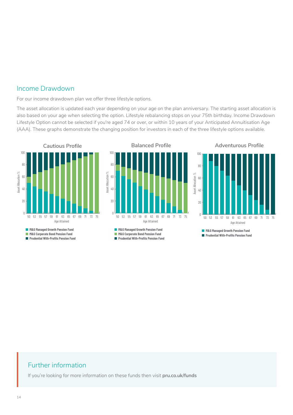### Income Drawdown

For our income drawdown plan we offer three lifestyle options.

The asset allocation is updated each year depending on your age on the plan anniversary. The starting asset allocation is also based on your age when selecting the option. Lifestyle rebalancing stops on your 75th birthday. Income Drawdown Lifestyle Option cannot be selected if you're aged 74 or over, or within 10 years of your Anticipated Annuitisation Age (AAA). These graphs demonstrate the changing position for investors in each of the three lifestyle options available.



## Further information

If you're looking for more information on these funds then visit **[pru.co.uk/funds](http://www.pru.co.uk/funds)**